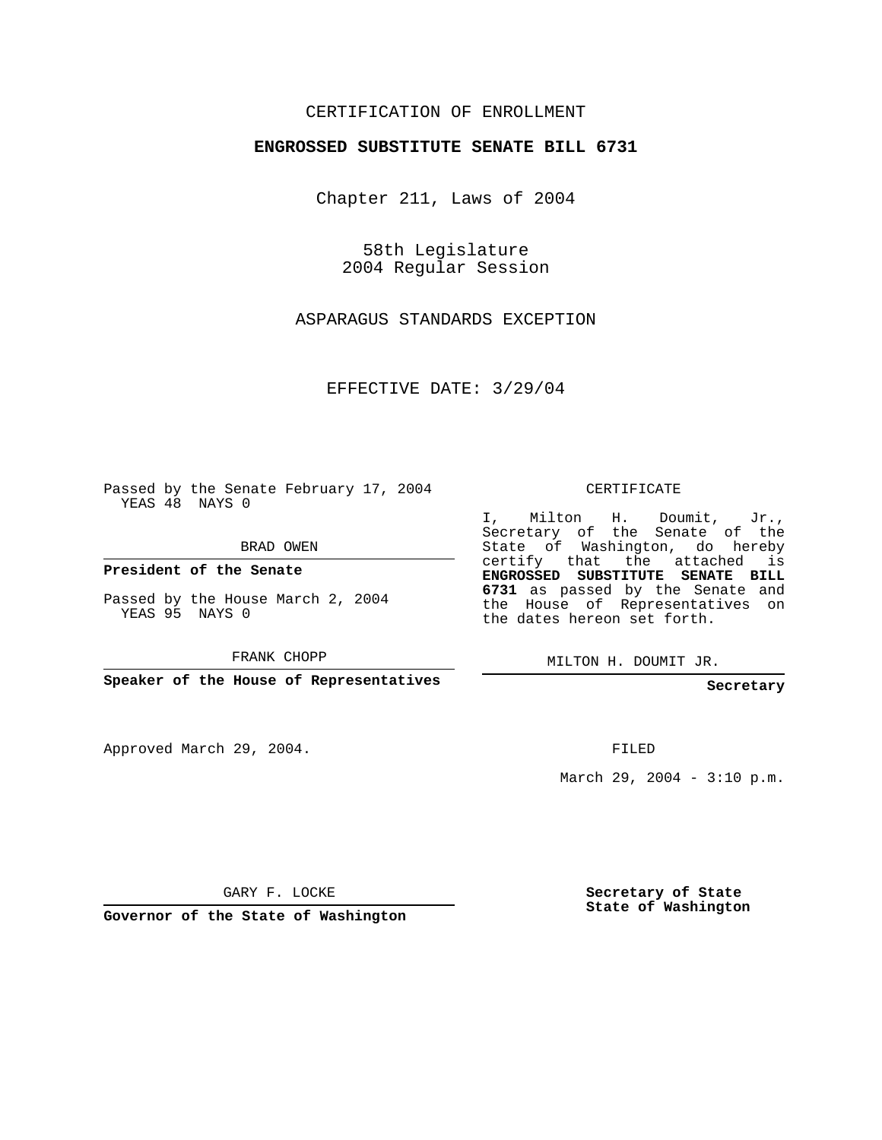## CERTIFICATION OF ENROLLMENT

## **ENGROSSED SUBSTITUTE SENATE BILL 6731**

Chapter 211, Laws of 2004

58th Legislature 2004 Regular Session

ASPARAGUS STANDARDS EXCEPTION

EFFECTIVE DATE: 3/29/04

Passed by the Senate February 17, 2004 YEAS 48 NAYS 0

BRAD OWEN

**President of the Senate**

Passed by the House March 2, 2004 YEAS 95 NAYS 0

FRANK CHOPP

**Speaker of the House of Representatives**

Approved March 29, 2004.

CERTIFICATE

I, Milton H. Doumit, Jr., Secretary of the Senate of the State of Washington, do hereby certify that the attached is **ENGROSSED SUBSTITUTE SENATE BILL 6731** as passed by the Senate and the House of Representatives on the dates hereon set forth.

MILTON H. DOUMIT JR.

**Secretary**

FILED

March 29, 2004 - 3:10 p.m.

GARY F. LOCKE

**Governor of the State of Washington**

**Secretary of State State of Washington**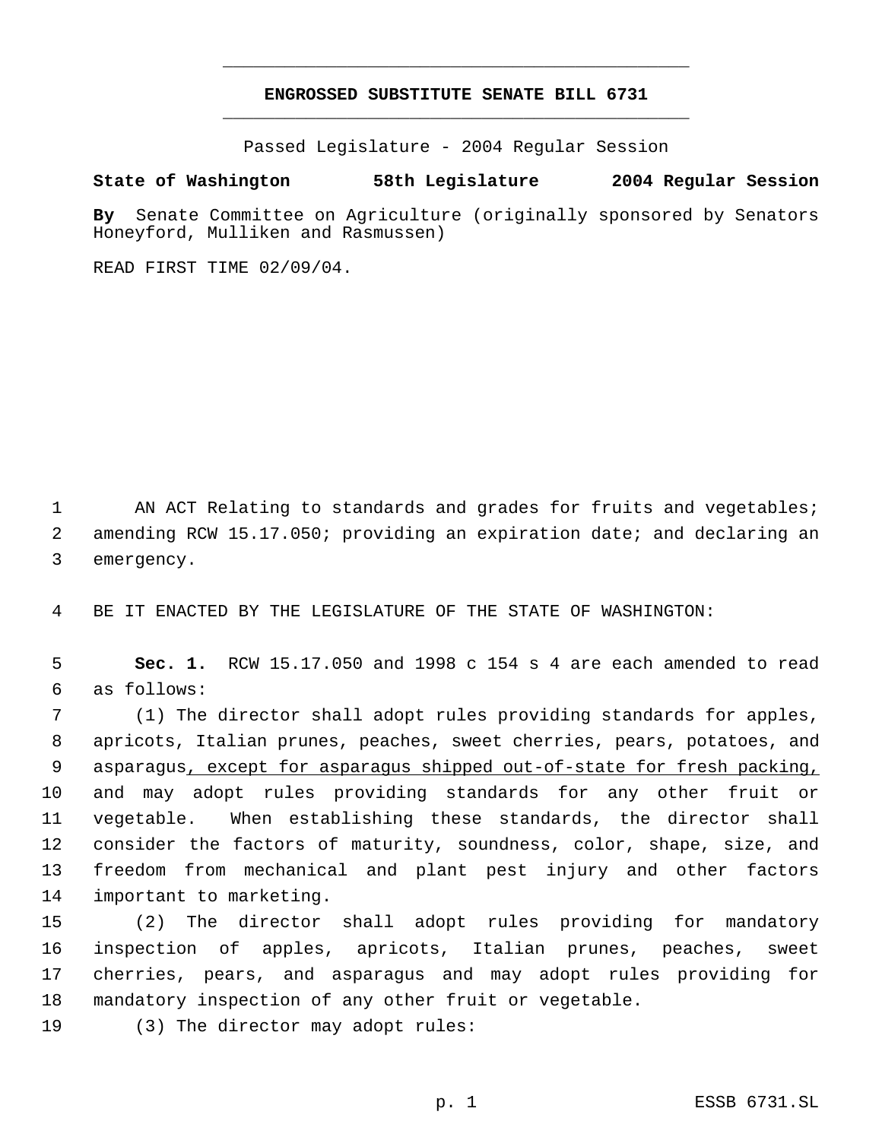## **ENGROSSED SUBSTITUTE SENATE BILL 6731** \_\_\_\_\_\_\_\_\_\_\_\_\_\_\_\_\_\_\_\_\_\_\_\_\_\_\_\_\_\_\_\_\_\_\_\_\_\_\_\_\_\_\_\_\_

\_\_\_\_\_\_\_\_\_\_\_\_\_\_\_\_\_\_\_\_\_\_\_\_\_\_\_\_\_\_\_\_\_\_\_\_\_\_\_\_\_\_\_\_\_

Passed Legislature - 2004 Regular Session

## **State of Washington 58th Legislature 2004 Regular Session**

**By** Senate Committee on Agriculture (originally sponsored by Senators Honeyford, Mulliken and Rasmussen)

READ FIRST TIME 02/09/04.

1 AN ACT Relating to standards and grades for fruits and vegetables; amending RCW 15.17.050; providing an expiration date; and declaring an emergency.

BE IT ENACTED BY THE LEGISLATURE OF THE STATE OF WASHINGTON:

 **Sec. 1.** RCW 15.17.050 and 1998 c 154 s 4 are each amended to read as follows:

 (1) The director shall adopt rules providing standards for apples, apricots, Italian prunes, peaches, sweet cherries, pears, potatoes, and 9 asparagus, except for asparagus shipped out-of-state for fresh packing, and may adopt rules providing standards for any other fruit or vegetable. When establishing these standards, the director shall consider the factors of maturity, soundness, color, shape, size, and freedom from mechanical and plant pest injury and other factors important to marketing.

 (2) The director shall adopt rules providing for mandatory inspection of apples, apricots, Italian prunes, peaches, sweet cherries, pears, and asparagus and may adopt rules providing for mandatory inspection of any other fruit or vegetable.

(3) The director may adopt rules: